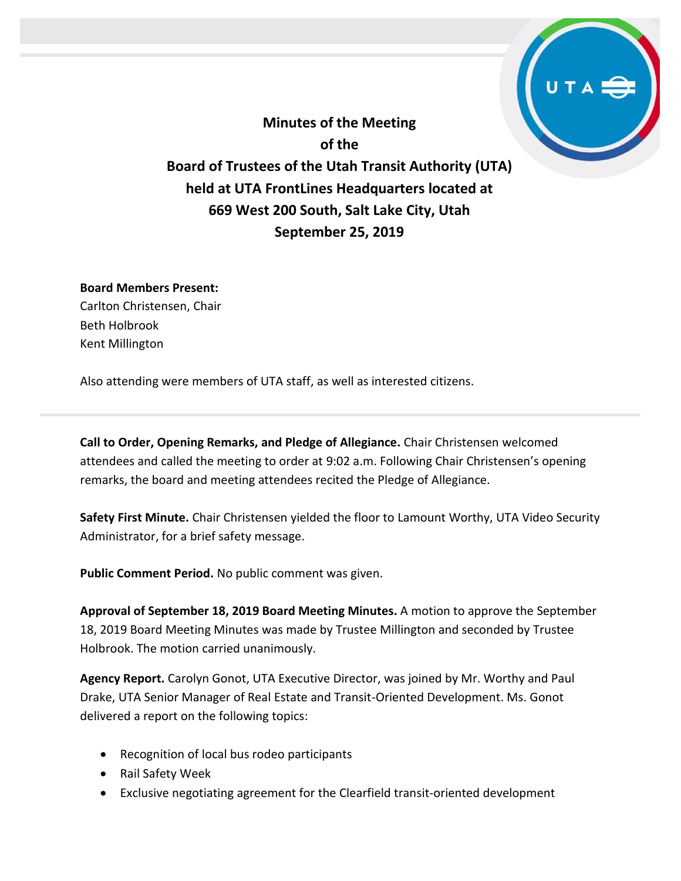**Minutes of the Meeting of the Board of Trustees of the Utah Transit Authority (UTA) held at UTA FrontLines Headquarters located at 669 West 200 South, Salt Lake City, Utah September 25, 2019**

## **Board Members Present:**

Carlton Christensen, Chair Beth Holbrook Kent Millington

Also attending were members of UTA staff, as well as interested citizens.

**Call to Order, Opening Remarks, and Pledge of Allegiance.** Chair Christensen welcomed attendees and called the meeting to order at 9:02 a.m. Following Chair Christensen's opening remarks, the board and meeting attendees recited the Pledge of Allegiance.

**Safety First Minute.** Chair Christensen yielded the floor to Lamount Worthy, UTA Video Security Administrator, for a brief safety message.

**Public Comment Period.** No public comment was given.

**Approval of September 18, 2019 Board Meeting Minutes.** A motion to approve the September 18, 2019 Board Meeting Minutes was made by Trustee Millington and seconded by Trustee Holbrook. The motion carried unanimously.

**Agency Report.** Carolyn Gonot, UTA Executive Director, was joined by Mr. Worthy and Paul Drake, UTA Senior Manager of Real Estate and Transit-Oriented Development. Ms. Gonot delivered a report on the following topics:

- Recognition of local bus rodeo participants
- Rail Safety Week
- Exclusive negotiating agreement for the Clearfield transit-oriented development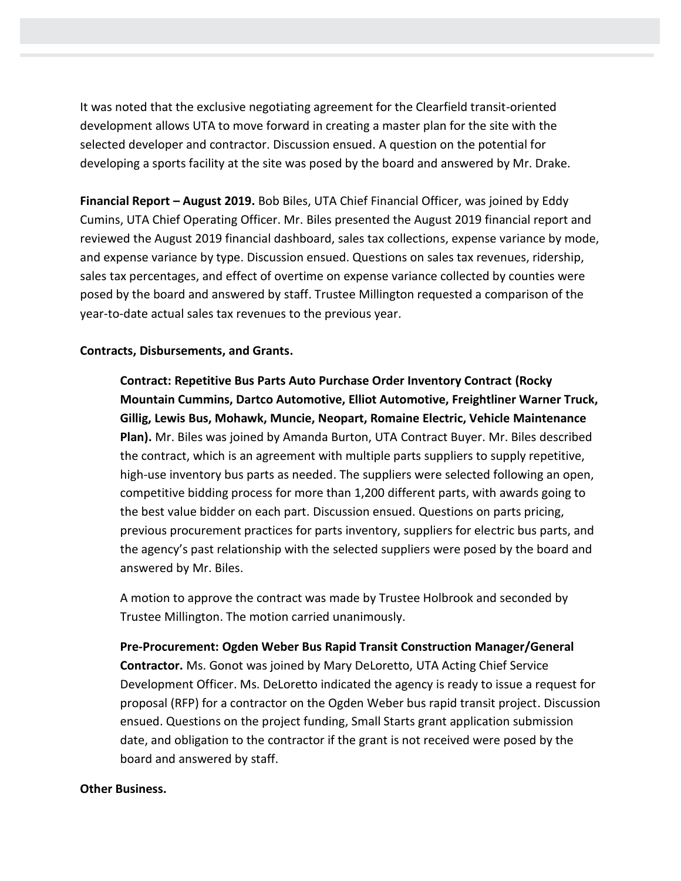It was noted that the exclusive negotiating agreement for the Clearfield transit-oriented development allows UTA to move forward in creating a master plan for the site with the selected developer and contractor. Discussion ensued. A question on the potential for developing a sports facility at the site was posed by the board and answered by Mr. Drake.

**Financial Report – August 2019.** Bob Biles, UTA Chief Financial Officer, was joined by Eddy Cumins, UTA Chief Operating Officer. Mr. Biles presented the August 2019 financial report and reviewed the August 2019 financial dashboard, sales tax collections, expense variance by mode, and expense variance by type. Discussion ensued. Questions on sales tax revenues, ridership, sales tax percentages, and effect of overtime on expense variance collected by counties were posed by the board and answered by staff. Trustee Millington requested a comparison of the year-to-date actual sales tax revenues to the previous year.

## **Contracts, Disbursements, and Grants.**

**Contract: Repetitive Bus Parts Auto Purchase Order Inventory Contract (Rocky Mountain Cummins, Dartco Automotive, Elliot Automotive, Freightliner Warner Truck, Gillig, Lewis Bus, Mohawk, Muncie, Neopart, Romaine Electric, Vehicle Maintenance Plan).** Mr. Biles was joined by Amanda Burton, UTA Contract Buyer. Mr. Biles described the contract, which is an agreement with multiple parts suppliers to supply repetitive, high-use inventory bus parts as needed. The suppliers were selected following an open, competitive bidding process for more than 1,200 different parts, with awards going to the best value bidder on each part. Discussion ensued. Questions on parts pricing, previous procurement practices for parts inventory, suppliers for electric bus parts, and the agency's past relationship with the selected suppliers were posed by the board and answered by Mr. Biles.

A motion to approve the contract was made by Trustee Holbrook and seconded by Trustee Millington. The motion carried unanimously.

**Pre-Procurement: Ogden Weber Bus Rapid Transit Construction Manager/General Contractor.** Ms. Gonot was joined by Mary DeLoretto, UTA Acting Chief Service Development Officer. Ms. DeLoretto indicated the agency is ready to issue a request for proposal (RFP) for a contractor on the Ogden Weber bus rapid transit project. Discussion ensued. Questions on the project funding, Small Starts grant application submission date, and obligation to the contractor if the grant is not received were posed by the board and answered by staff.

## **Other Business.**